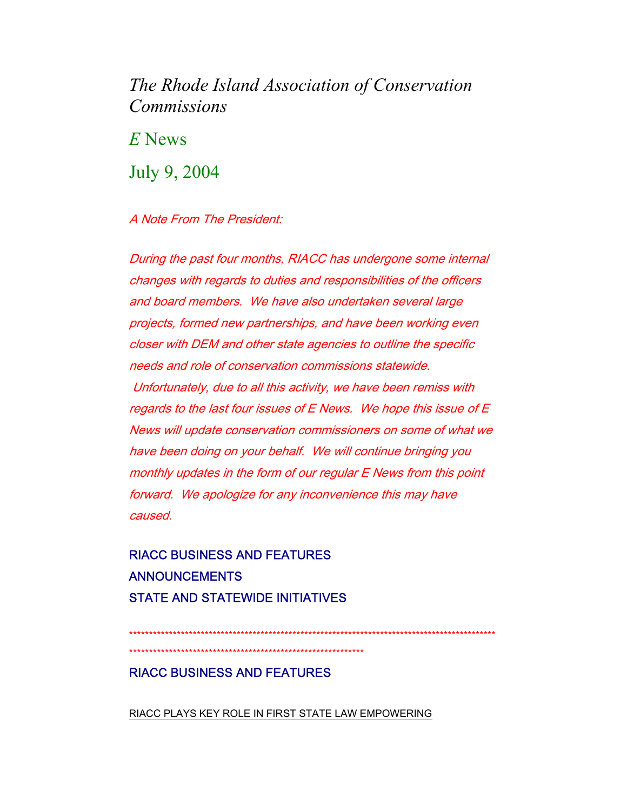# The Rhode Island Association of Conservation *Commissions*

 $E$  News

July 9, 2004

# A Note From The President:

During the past four months, RIACC has undergone some internal changes with regards to duties and responsibilities of the officers and board members. We have also undertaken several large projects, formed new partnerships, and have been working even closer with DEM and other state agencies to outline the specific needs and role of conservation commissions statewide. Unfortunately, due to all this activity, we have been remiss with regards to the last four issues of E News. We hope this issue of E News will update conservation commissioners on some of what we have been doing on your behalf. We will continue bringing you monthly updates in the form of our regular E News from this point forward. We apologize for any inconvenience this may have caused.

# **RIACC BUSINESS AND FEATURES ANNOUNCEMENTS STATE AND STATEWIDE INITIATIVES**

**RIACC BUSINESS AND FEATURES** 

RIACC PLAYS KEY ROLE IN FIRST STATE LAW EMPOWERING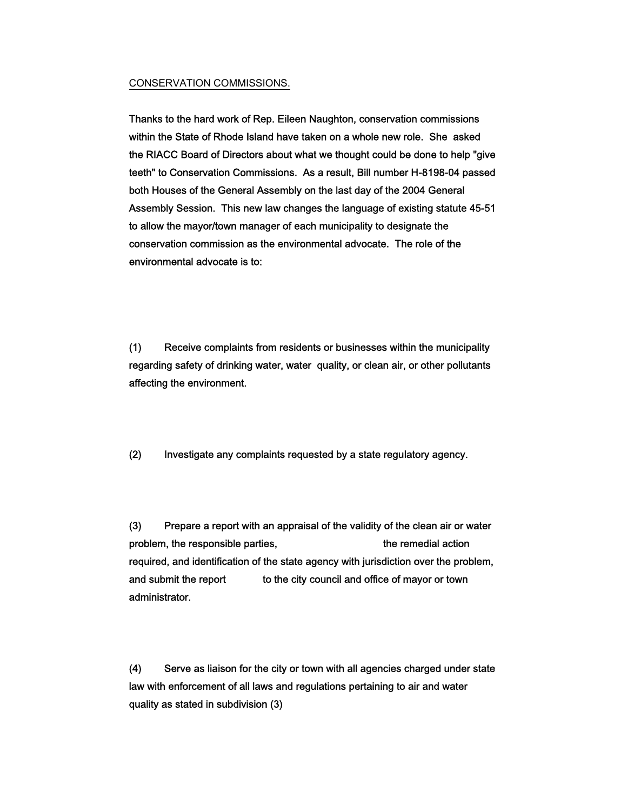#### CONSERVATION COMMISSIONS.

Thanks to the hard work of Rep. Eileen Naughton, conservation commissions within the State of Rhode Island have taken on a whole new role. She asked the RIACC Board of Directors about what we thought could be done to help "give teeth" to Conservation Commissions. As a result, Bill number H-8198-04 passed both Houses of the General Assembly on the last day of the 2004 General Assembly Session. This new law changes the language of existing statute 45-51 to allow the mayor/town manager of each municipality to designate the conservation commission as the environmental advocate. The role of the environmental advocate is to:

(1) Receive complaints from residents or businesses within the municipality regarding safety of drinking water, water quality, or clean air, or other pollutants affecting the environment.

(2) Investigate any complaints requested by a state regulatory agency.

(3) Prepare a report with an appraisal of the validity of the clean air or water problem, the responsible parties, the remedial action required, and identification of the state agency with jurisdiction over the problem, and submit the report to the city council and office of mayor or town administrator.

(4) Serve as liaison for the city or town with all agencies charged under state law with enforcement of all laws and regulations pertaining to air and water quality as stated in subdivision (3)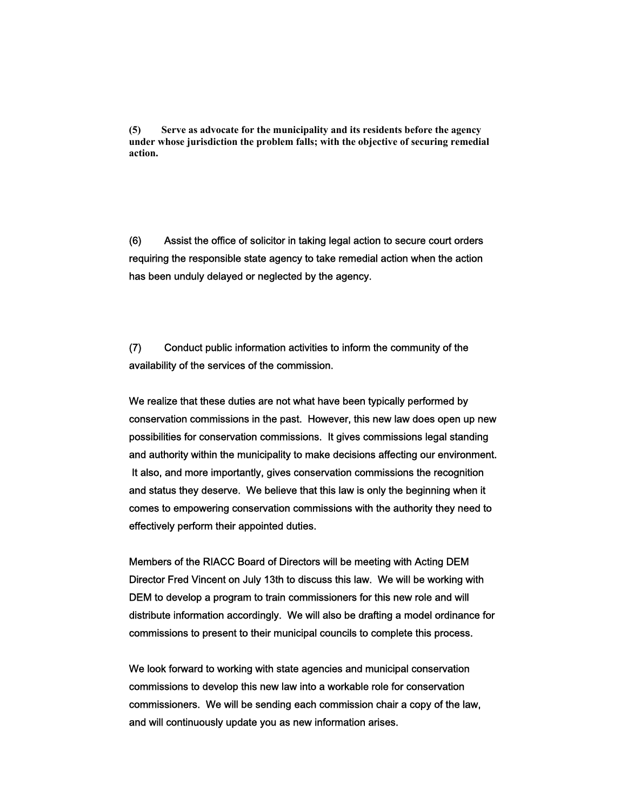**(5) Serve as advocate for the municipality and its residents before the agency under whose jurisdiction the problem falls; with the objective of securing remedial action.** 

(6) Assist the office of solicitor in taking legal action to secure court orders requiring the responsible state agency to take remedial action when the action has been unduly delayed or neglected by the agency.

(7) Conduct public information activities to inform the community of the availability of the services of the commission.

We realize that these duties are not what have been typically performed by conservation commissions in the past. However, this new law does open up new possibilities for conservation commissions. It gives commissions legal standing and authority within the municipality to make decisions affecting our environment. It also, and more importantly, gives conservation commissions the recognition and status they deserve. We believe that this law is only the beginning when it comes to empowering conservation commissions with the authority they need to effectively perform their appointed duties.

Members of the RIACC Board of Directors will be meeting with Acting DEM Director Fred Vincent on July 13th to discuss this law. We will be working with DEM to develop a program to train commissioners for this new role and will distribute information accordingly. We will also be drafting a model ordinance for commissions to present to their municipal councils to complete this process.

We look forward to working with state agencies and municipal conservation commissions to develop this new law into a workable role for conservation commissioners. We will be sending each commission chair a copy of the law, and will continuously update you as new information arises.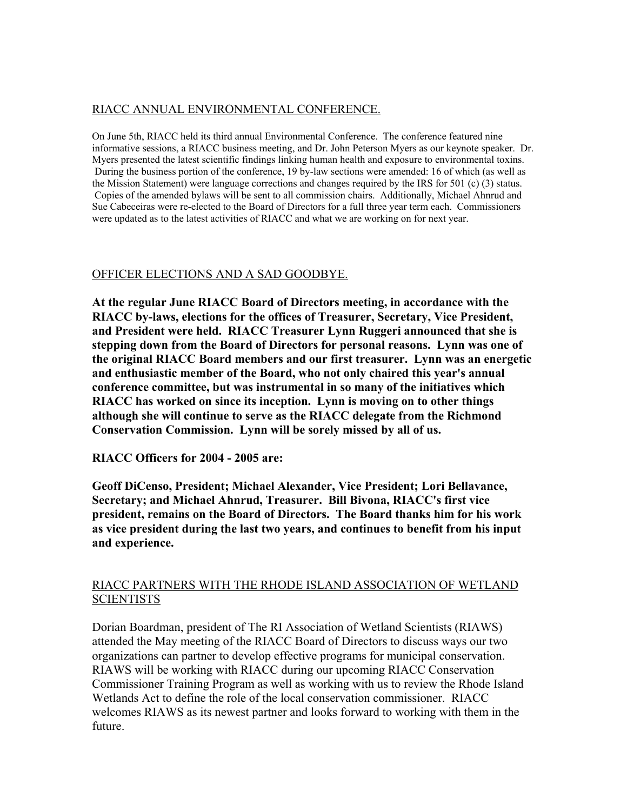# RIACC ANNUAL ENVIRONMENTAL CONFERENCE.

On June 5th, RIACC held its third annual Environmental Conference. The conference featured nine informative sessions, a RIACC business meeting, and Dr. John Peterson Myers as our keynote speaker. Dr. Myers presented the latest scientific findings linking human health and exposure to environmental toxins. During the business portion of the conference, 19 by-law sections were amended: 16 of which (as well as the Mission Statement) were language corrections and changes required by the IRS for 501 (c) (3) status. Copies of the amended bylaws will be sent to all commission chairs. Additionally, Michael Ahnrud and Sue Cabeceiras were re-elected to the Board of Directors for a full three year term each. Commissioners were updated as to the latest activities of RIACC and what we are working on for next year.

# OFFICER ELECTIONS AND A SAD GOODBYE.

**At the regular June RIACC Board of Directors meeting, in accordance with the RIACC by-laws, elections for the offices of Treasurer, Secretary, Vice President, and President were held. RIACC Treasurer Lynn Ruggeri announced that she is stepping down from the Board of Directors for personal reasons. Lynn was one of the original RIACC Board members and our first treasurer. Lynn was an energetic and enthusiastic member of the Board, who not only chaired this year's annual conference committee, but was instrumental in so many of the initiatives which RIACC has worked on since its inception. Lynn is moving on to other things although she will continue to serve as the RIACC delegate from the Richmond Conservation Commission. Lynn will be sorely missed by all of us.**

**RIACC Officers for 2004 - 2005 are:**

**Geoff DiCenso, President; Michael Alexander, Vice President; Lori Bellavance, Secretary; and Michael Ahnrud, Treasurer. Bill Bivona, RIACC's first vice president, remains on the Board of Directors. The Board thanks him for his work as vice president during the last two years, and continues to benefit from his input and experience.** 

### RIACC PARTNERS WITH THE RHODE ISLAND ASSOCIATION OF WETLAND **SCIENTISTS**

Dorian Boardman, president of The RI Association of Wetland Scientists (RIAWS) attended the May meeting of the RIACC Board of Directors to discuss ways our two organizations can partner to develop effective programs for municipal conservation. RIAWS will be working with RIACC during our upcoming RIACC Conservation Commissioner Training Program as well as working with us to review the Rhode Island Wetlands Act to define the role of the local conservation commissioner. RIACC welcomes RIAWS as its newest partner and looks forward to working with them in the future.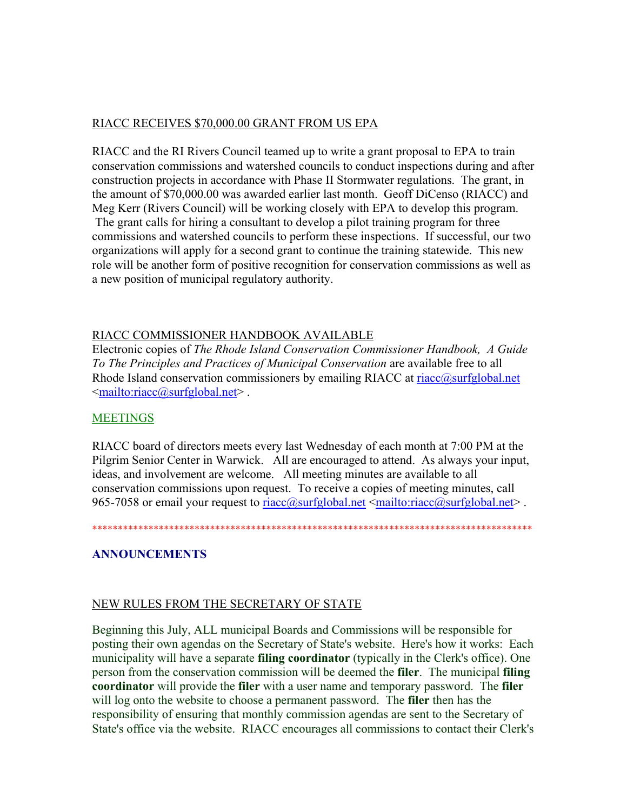### RIACC RECEIVES \$70,000.00 GRANT FROM US EPA

RIACC and the RI Rivers Council teamed up to write a grant proposal to EPA to train conservation commissions and watershed councils to conduct inspections during and after construction projects in accordance with Phase II Stormwater regulations. The grant, in the amount of \$70,000.00 was awarded earlier last month. Geoff DiCenso (RIACC) and Meg Kerr (Rivers Council) will be working closely with EPA to develop this program. The grant calls for hiring a consultant to develop a pilot training program for three commissions and watershed councils to perform these inspections. If successful, our two organizations will apply for a second grant to continue the training statewide. This new role will be another form of positive recognition for conservation commissions as well as a new position of municipal regulatory authority.

### RIACC COMMISSIONER HANDBOOK AVAILABLE

Electronic copies of *The Rhode Island Conservation Commissioner Handbook, A Guide To The Principles and Practices of Municipal Conservation* are available free to all Rhode Island conservation commissioners by emailing RIACC at riacc@surfglobal.net <mailto:riacc@surfglobal.net> .

#### **MEETINGS**

RIACC board of directors meets every last Wednesday of each month at 7:00 PM at the Pilgrim Senior Center in Warwick. All are encouraged to attend. As always your input, ideas, and involvement are welcome. All meeting minutes are available to all conservation commissions upon request. To receive a copies of meeting minutes, call 965-7058 or email your request to riacc@surfglobal.net  $\leq$ mailto:riacc@surfglobal.net >.

\*\*\*\*\*\*\*\*\*\*\*\*\*\*\*\*\*\*\*\*\*\*\*\*\*\*\*\*\*\*\*\*\*\*\*\*\*\*\*\*\*\*\*\*\*\*\*\*\*\*\*\*\*\*\*\*\*\*\*\*\*\*\*\*\*\*\*\*\*\*\*\*\*\*\*\*\*\*\*\*\*\*\*\*\*\*

#### **ANNOUNCEMENTS**

#### NEW RULES FROM THE SECRETARY OF STATE

Beginning this July, ALL municipal Boards and Commissions will be responsible for posting their own agendas on the Secretary of State's website. Here's how it works: Each municipality will have a separate **filing coordinator** (typically in the Clerk's office). One person from the conservation commission will be deemed the **filer**. The municipal **filing coordinator** will provide the **filer** with a user name and temporary password. The **filer** will log onto the website to choose a permanent password. The **filer** then has the responsibility of ensuring that monthly commission agendas are sent to the Secretary of State's office via the website. RIACC encourages all commissions to contact their Clerk's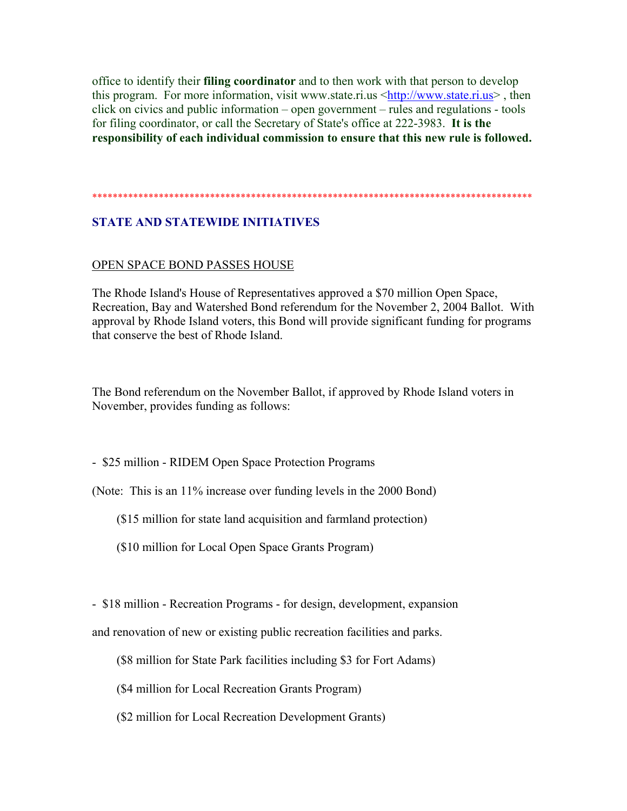office to identify their **filing coordinator** and to then work with that person to develop this program. For more information, visit www.state.ri.us <http://www.state.ri.us>, then click on civics and public information – open government – rules and regulations - tools for filing coordinator, or call the Secretary of State's office at 222-3983. **It is the responsibility of each individual commission to ensure that this new rule is followed.**

#### \*\*\*\*\*\*\*\*\*\*\*\*\*\*\*\*\*\*\*\*\*\*\*\*\*\*\*\*\*\*\*\*\*\*\*\*\*\*\*\*\*\*\*\*\*\*\*\*\*\*\*\*\*\*\*\*\*\*\*\*\*\*\*\*\*\*\*\*\*\*\*\*\*\*\*\*\*\*\*\*\*\*\*\*\*\*

## **STATE AND STATEWIDE INITIATIVES**

#### OPEN SPACE BOND PASSES HOUSE

The Rhode Island's House of Representatives approved a \$70 million Open Space, Recreation, Bay and Watershed Bond referendum for the November 2, 2004 Ballot. With approval by Rhode Island voters, this Bond will provide significant funding for programs that conserve the best of Rhode Island.

The Bond referendum on the November Ballot, if approved by Rhode Island voters in November, provides funding as follows:

- \$25 million - RIDEM Open Space Protection Programs

(Note: This is an 11% increase over funding levels in the 2000 Bond)

(\$15 million for state land acquisition and farmland protection)

(\$10 million for Local Open Space Grants Program)

- \$18 million - Recreation Programs - for design, development, expansion

and renovation of new or existing public recreation facilities and parks.

(\$8 million for State Park facilities including \$3 for Fort Adams)

(\$4 million for Local Recreation Grants Program)

(\$2 million for Local Recreation Development Grants)